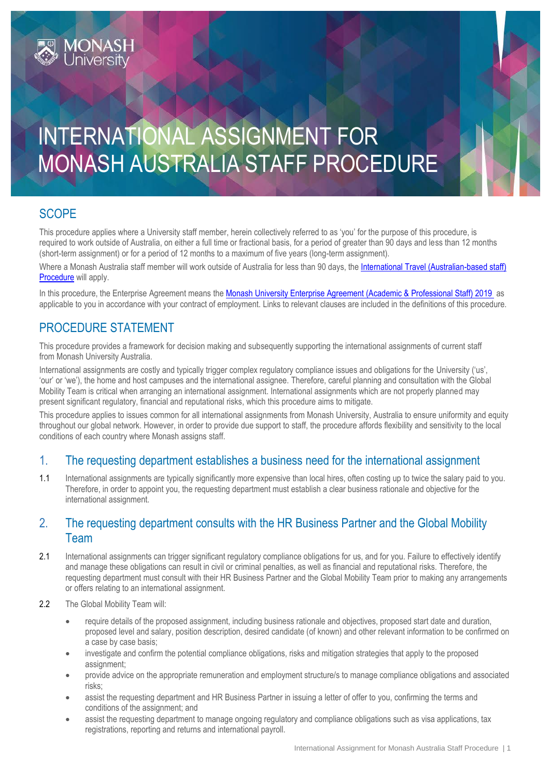# INTERNATIONAL ASSIGNMENT FOR MONASH AUSTRALIA STAFF PROCEDURE

## **SCOPE**

This procedure applies where a University staff member, herein collectively referred to as 'you' for the purpose of this procedure, is required to work outside of Australia, on either a full time or fractional basis, for a period of greater than 90 days and less than 12 months (short-term assignment) or for a period of 12 months to a maximum of five years (long-term assignment).

Where a Monash Australia staff member will work outside of Australia for less than 90 days, the International Travel (Australian-based staff) [Procedure](https://publicpolicydms.monash.edu/Monash/documents/1935693) will apply.

In this procedure, the Enterprise Agreement means the [Monash University Enterprise Agreement \(Academic & Professional Staff\) 2019](https://www.monash.edu/current-enterprise-agreements/academic-professional-2019) as applicable to you in accordance with your contract of employment. Links to relevant clauses are included in the definitions of this procedure.

# PROCEDURE STATEMENT

**MONASH**<br>Universitv

This procedure provides a framework for decision making and subsequently supporting the international assignments of current staff from Monash University Australia.

International assignments are costly and typically trigger complex regulatory compliance issues and obligations for the University ('us', 'our' or 'we'), the home and host campuses and the international assignee. Therefore, careful planning and consultation with the Global Mobility Team is critical when arranging an international assignment. International assignments which are not properly planned may present significant regulatory, financial and reputational risks, which this procedure aims to mitigate.

This procedure applies to issues common for all international assignments from Monash University, Australia to ensure uniformity and equity throughout our global network. However, in order to provide due support to staff, the procedure affords flexibility and sensitivity to the local conditions of each country where Monash assigns staff.

## 1. The requesting department establishes a business need for the international assignment

1.1 International assignments are typically significantly more expensive than local hires, often costing up to twice the salary paid to you. Therefore, in order to appoint you, the requesting department must establish a clear business rationale and objective for the international assignment.

## 2. The requesting department consults with the HR Business Partner and the Global Mobility Team

- 2.1 International assignments can trigger significant regulatory compliance obligations for us, and for you. Failure to effectively identify and manage these obligations can result in civil or criminal penalties, as well as financial and reputational risks. Therefore, the requesting department must consult with their HR Business Partner and the Global Mobility Team prior to making any arrangements or offers relating to an international assignment.
- 2.2 The Global Mobility Team will:
	- require details of the proposed assignment, including business rationale and objectives, proposed start date and duration, proposed level and salary, position description, desired candidate (of known) and other relevant information to be confirmed on a case by case basis;
	- investigate and confirm the potential compliance obligations, risks and mitigation strategies that apply to the proposed assignment;
	- provide advice on the appropriate remuneration and employment structure/s to manage compliance obligations and associated risks;
	- assist the requesting department and HR Business Partner in issuing a letter of offer to you, confirming the terms and conditions of the assignment; and
	- assist the requesting department to manage ongoing regulatory and compliance obligations such as visa applications, tax registrations, reporting and returns and international payroll.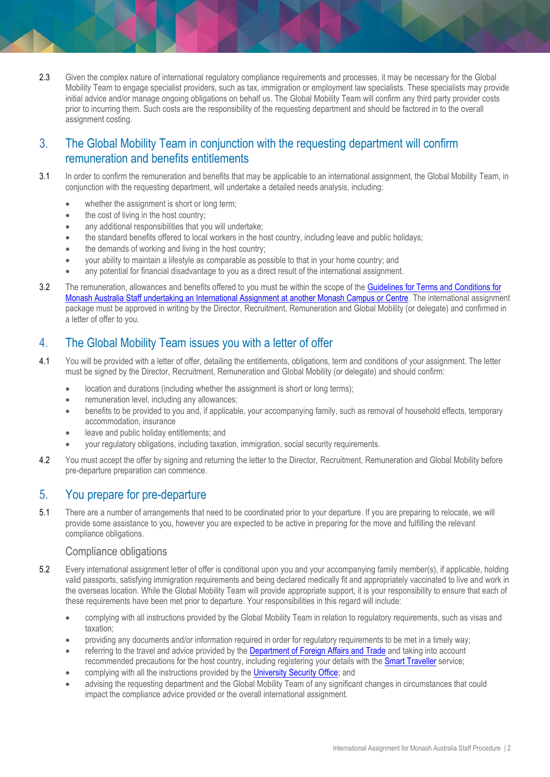2.3 Given the complex nature of international regulatory compliance requirements and processes, it may be necessary for the Global Mobility Team to engage specialist providers, such as tax, immigration or employment law specialists. These specialists may provide initial advice and/or manage ongoing obligations on behalf us. The Global Mobility Team will confirm any third party provider costs prior to incurring them. Such costs are the responsibility of the requesting department and should be factored in to the overall assignment costing.

## 3. The Global Mobility Team in conjunction with the requesting department will confirm remuneration and benefits entitlements

- 3.1 In order to confirm the remuneration and benefits that may be applicable to an international assignment, the Global Mobility Team, in conjunction with the requesting department, will undertake a detailed needs analysis, including:
	- whether the assignment is short or long term;
	- the cost of living in the host country:
	- any additional responsibilities that you will undertake;
	- the standard benefits offered to local workers in the host country, including leave and public holidays;
	- the demands of working and living in the host country:
	- your ability to maintain a lifestyle as comparable as possible to that in your home country; and
	- any potential for financial disadvantage to you as a direct result of the international assignment.
- 3.2 The remuneration, allowances and benefits offered to you must be within the scope of the [Guidelines for Terms and Conditions for](https://www.monash.edu/policy-bank/workplace-policy/employment-conditions/guidelines-terms-conditions)  [Monash Australia Staff undertaking an International Assignment at another Monash Campus or Centre.](https://www.monash.edu/policy-bank/workplace-policy/employment-conditions/guidelines-terms-conditions) The international assignment package must be approved in writing by the Director, Recruitment, Remuneration and Global Mobility (or delegate) and confirmed in a letter of offer to you.

## 4. The Global Mobility Team issues you with a letter of offer

- 4.1 You will be provided with a letter of offer, detailing the entitlements, obligations, term and conditions of your assignment. The letter must be signed by the Director, Recruitment, Remuneration and Global Mobility (or delegate) and should confirm:
	- location and durations (including whether the assignment is short or long terms);
	- remuneration level, including any allowances;
	- benefits to be provided to you and, if applicable, your accompanying family, such as removal of household effects, temporary accommodation, insurance
	- leave and public holiday entitlements; and
	- your regulatory obligations, including taxation, immigration, social security requirements.
- 4.2 You must accept the offer by signing and returning the letter to the Director, Recruitment, Remuneration and Global Mobility before pre-departure preparation can commence.

## 5. You prepare for pre-departure

5.1 There are a number of arrangements that need to be coordinated prior to your departure. If you are preparing to relocate, we will provide some assistance to you, however you are expected to be active in preparing for the move and fulfilling the relevant compliance obligations.

#### Compliance obligations

- 5.2 Every international assignment letter of offer is conditional upon you and your accompanying family member(s), if applicable, holding valid passports, satisfying immigration requirements and being declared medically fit and appropriately vaccinated to live and work in the overseas location. While the Global Mobility Team will provide appropriate support, it is your responsibility to ensure that each of these requirements have been met prior to departure. Your responsibilities in this regard will include:
	- complying with all instructions provided by the Global Mobility Team in relation to regulatory requirements, such as visas and taxation;
	- providing any documents and/or information required in order for regulatory requirements to be met in a timely way;
	- referring to the travel and advice provided by the **[Department of Foreign Affairs and Trade](http://www.dfat.gov.au/pages/default.aspx)** and taking into account recommended precautions for the host country, including registering your details with the [Smart Traveller](http://smartraveller.gov.au/Pages/default.aspx) service;
	- complying with all the instructions provided by the [University Security Office;](http://monash.edu/about/who/safety-security/offices) and
	- advising the requesting department and the Global Mobility Team of any significant changes in circumstances that could impact the compliance advice provided or the overall international assignment.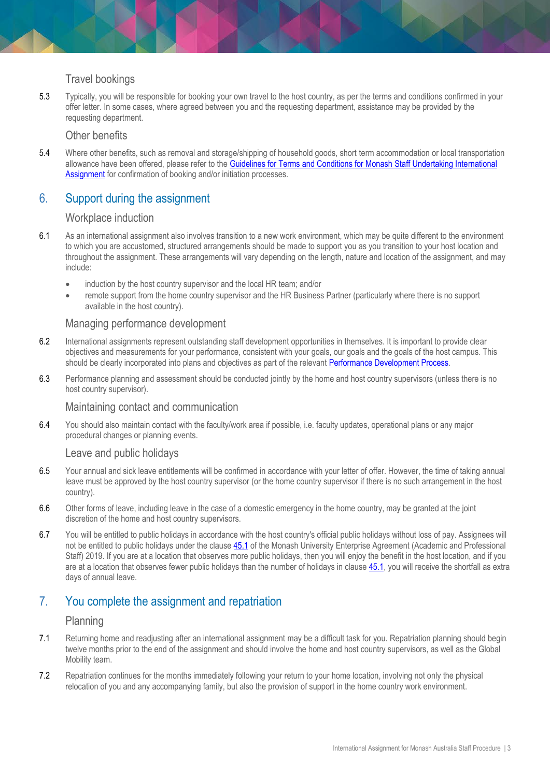#### Travel bookings

5.3 Typically, you will be responsible for booking your own travel to the host country, as per the terms and conditions confirmed in your offer letter. In some cases, where agreed between you and the requesting department, assistance may be provided by the requesting department.

#### Other benefits

5.4 Where other benefits, such as removal and storage/shipping of household goods, short term accommodation or local transportation allowance have been offered, please refer to the Guidelines for Terms and Conditions for Monash Staff Undertaking International [Assignment](http://www.monash.edu/policy-bank/hr/international/guidelines-terms-conditions) for confirmation of booking and/or initiation processes.

## 6. Support during the assignment

#### Workplace induction

- 6.1 As an international assignment also involves transition to a new work environment, which may be quite different to the environment to which you are accustomed, structured arrangements should be made to support you as you transition to your host location and throughout the assignment. These arrangements will vary depending on the length, nature and location of the assignment, and may include:
	- induction by the host country supervisor and the local HR team; and/or
	- remote support from the home country supervisor and the HR Business Partner (particularly where there is no support available in the host country).

#### Managing performance development

- 6.2 International assignments represent outstanding staff development opportunities in themselves. It is important to provide clear objectives and measurements for your performance, consistent with your goals, our goals and the goals of the host campus. This should be clearly incorporated into plans and objectives as part of the relevant [Performance Development Process.](http://www.intranet.monash/hr/tools-and-resources/staff-resources/performance-development)
- 6.3 Performance planning and assessment should be conducted jointly by the home and host country supervisors (unless there is no host country supervisor).

#### Maintaining contact and communication

6.4 You should also maintain contact with the faculty/work area if possible, i.e. faculty updates, operational plans or any major procedural changes or planning events.

#### Leave and public holidays

- 6.5 Your annual and sick leave entitlements will be confirmed in accordance with your letter of offer. However, the time of taking annual leave must be approved by the host country supervisor (or the home country supervisor if there is no such arrangement in the host country).
- 6.6 Other forms of leave, including leave in the case of a domestic emergency in the home country, may be granted at the joint discretion of the home and host country supervisors.
- 6.7 You will be entitled to public holidays in accordance with the host country's official public holidays without loss of pay. Assignees will not be entitled to public holidays under the clause [45.1](https://www.monash.edu/current-enterprise-agreements/academic-professional-2019#45) of the Monash University Enterprise Agreement (Academic and Professional Staff) 2019. If you are at a location that observes more public holidays, then you will enjoy the benefit in the host location, and if you are at a location that observes fewer public holidays than the number of holidays in clause [45.1,](https://www.monash.edu/current-enterprise-agreements/academic-professional-2019#45) you will receive the shortfall as extra days of annual leave.

## 7. You complete the assignment and repatriation

#### Planning

- 7.1 Returning home and readjusting after an international assignment may be a difficult task for you. Repatriation planning should begin twelve months prior to the end of the assignment and should involve the home and host country supervisors, as well as the Global Mobility team.
- 7.2 Repatriation continues for the months immediately following your return to your home location, involving not only the physical relocation of you and any accompanying family, but also the provision of support in the home country work environment.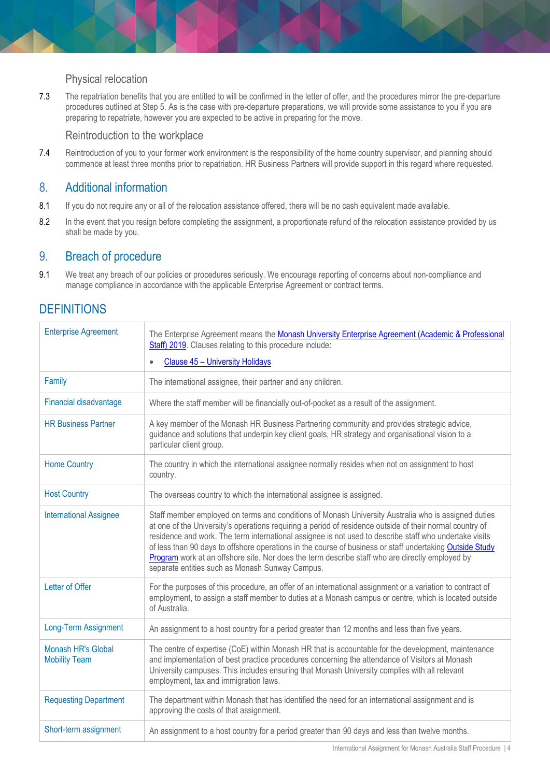#### Physical relocation

7.3 The repatriation benefits that you are entitled to will be confirmed in the letter of offer, and the procedures mirror the pre-departure procedures outlined at Step 5. As is the case with pre-departure preparations, we will provide some assistance to you if you are preparing to repatriate, however you are expected to be active in preparing for the move.

#### Reintroduction to the workplace

7.4 Reintroduction of you to your former work environment is the responsibility of the home country supervisor, and planning should commence at least three months prior to repatriation. HR Business Partners will provide support in this regard where requested.

## 8. Additional information

- 8.1 If you do not require any or all of the relocation assistance offered, there will be no cash equivalent made available.
- 8.2 In the event that you resign before completing the assignment, a proportionate refund of the relocation assistance provided by us shall be made by you.

### 9. Breach of procedure

9.1 We treat any breach of our policies or procedures seriously. We encourage reporting of concerns about non-compliance and manage compliance in accordance with the applicable Enterprise Agreement or contract terms.

# **DEFINITIONS**

| <b>Enterprise Agreement</b>                | The Enterprise Agreement means the Monash University Enterprise Agreement (Academic & Professional<br>Staff) 2019. Clauses relating to this procedure include:<br>Clause 45 - University Holidays<br>$\bullet$                                                                                                                                                                                                                                                                                                                                                                              |
|--------------------------------------------|---------------------------------------------------------------------------------------------------------------------------------------------------------------------------------------------------------------------------------------------------------------------------------------------------------------------------------------------------------------------------------------------------------------------------------------------------------------------------------------------------------------------------------------------------------------------------------------------|
| Family                                     | The international assignee, their partner and any children.                                                                                                                                                                                                                                                                                                                                                                                                                                                                                                                                 |
| Financial disadvantage                     | Where the staff member will be financially out-of-pocket as a result of the assignment.                                                                                                                                                                                                                                                                                                                                                                                                                                                                                                     |
| <b>HR Business Partner</b>                 | A key member of the Monash HR Business Partnering community and provides strategic advice,<br>guidance and solutions that underpin key client goals, HR strategy and organisational vision to a<br>particular client group.                                                                                                                                                                                                                                                                                                                                                                 |
| <b>Home Country</b>                        | The country in which the international assignee normally resides when not on assignment to host<br>country.                                                                                                                                                                                                                                                                                                                                                                                                                                                                                 |
| <b>Host Country</b>                        | The overseas country to which the international assignee is assigned.                                                                                                                                                                                                                                                                                                                                                                                                                                                                                                                       |
| <b>International Assignee</b>              | Staff member employed on terms and conditions of Monash University Australia who is assigned duties<br>at one of the University's operations requiring a period of residence outside of their normal country of<br>residence and work. The term international assignee is not used to describe staff who undertake visits<br>of less than 90 days to offshore operations in the course of business or staff undertaking Outside Study<br>Program work at an offshore site. Nor does the term describe staff who are directly employed by<br>separate entities such as Monash Sunway Campus. |
| Letter of Offer                            | For the purposes of this procedure, an offer of an international assignment or a variation to contract of<br>employment, to assign a staff member to duties at a Monash campus or centre, which is located outside<br>of Australia.                                                                                                                                                                                                                                                                                                                                                         |
| Long-Term Assignment                       | An assignment to a host country for a period greater than 12 months and less than five years.                                                                                                                                                                                                                                                                                                                                                                                                                                                                                               |
| Monash HR's Global<br><b>Mobility Team</b> | The centre of expertise (CoE) within Monash HR that is accountable for the development, maintenance<br>and implementation of best practice procedures concerning the attendance of Visitors at Monash<br>University campuses. This includes ensuring that Monash University complies with all relevant<br>employment, tax and immigration laws.                                                                                                                                                                                                                                             |
| <b>Requesting Department</b>               | The department within Monash that has identified the need for an international assignment and is<br>approving the costs of that assignment.                                                                                                                                                                                                                                                                                                                                                                                                                                                 |
| Short-term assignment                      | An assignment to a host country for a period greater than 90 days and less than twelve months.                                                                                                                                                                                                                                                                                                                                                                                                                                                                                              |